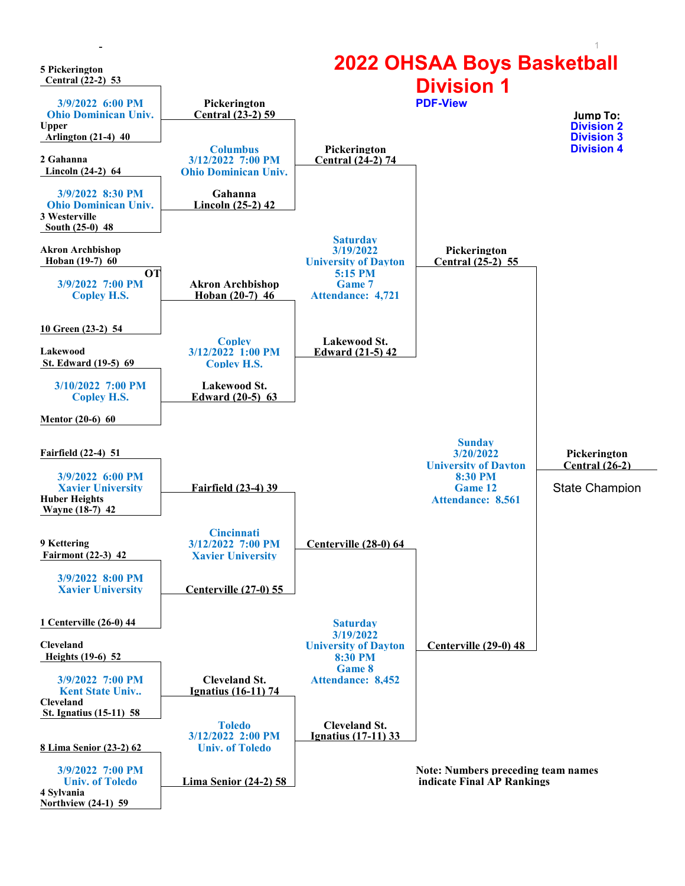<span id="page-0-0"></span>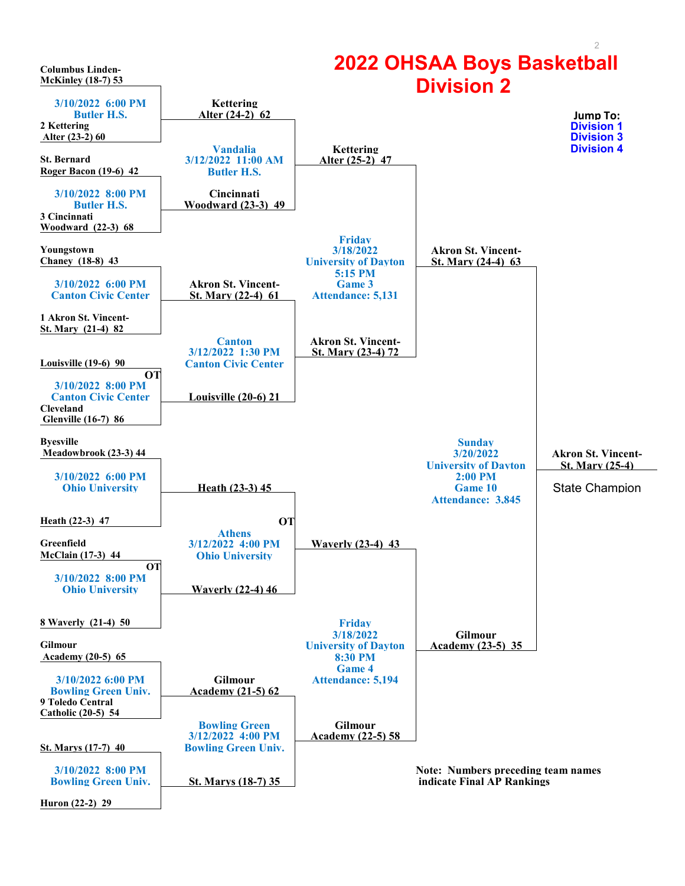<span id="page-1-0"></span>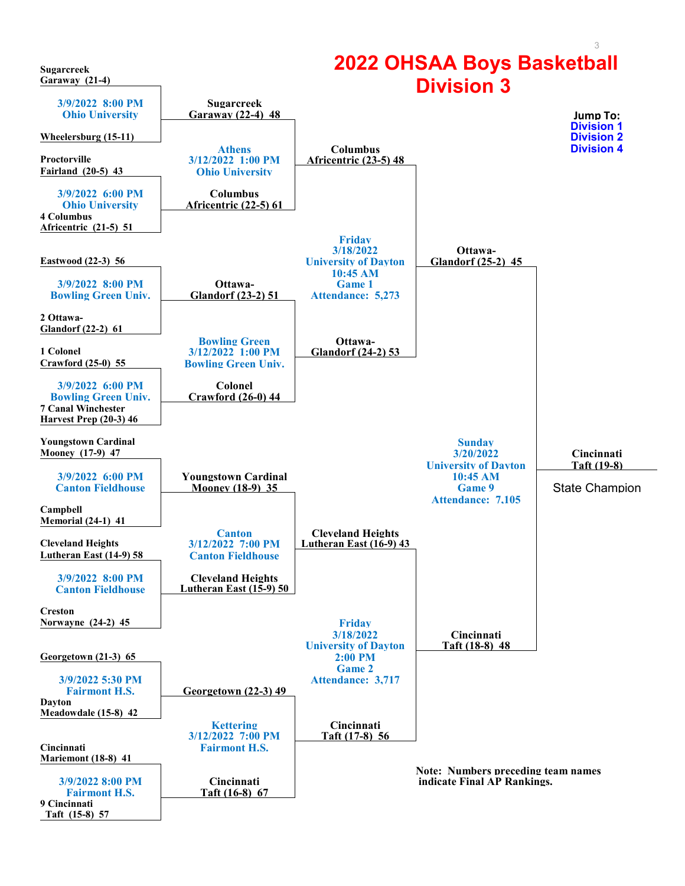<span id="page-2-0"></span>